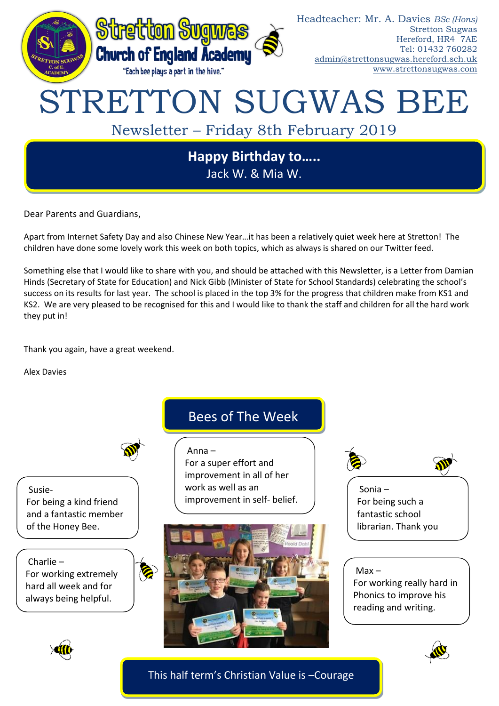

Dear Parents and Guardians,

Apart from Internet Safety Day and also Chinese New Year…it has been a relatively quiet week here at Stretton! The children have done some lovely work this week on both topics, which as always is shared on our Twitter feed.

Something else that I would like to share with you, and should be attached with this Newsletter, is a Letter from Damian Hinds (Secretary of State for Education) and Nick Gibb (Minister of State for School Standards) celebrating the school's success on its results for last year. The school is placed in the top 3% for the progress that children make from KS1 and KS2. We are very pleased to be recognised for this and I would like to thank the staff and children for all the hard work they put in!

Thank you again, have a great weekend.

Alex Davies

Susie-For being a kind friend and a fantastic member of the Honey Bee.

Charlie – For working extremely hard all week and for always being helpful.



## Bees of The Week

Anna –

For a super effort and improvement in all of her work as well as an improvement in self- belief.





For being such a fantastic school librarian. Thank you

 $Max -$ 

Sonia!

For working really hard in Phonics to improve his reading and writing.





This half term's Christian Value is –Courage